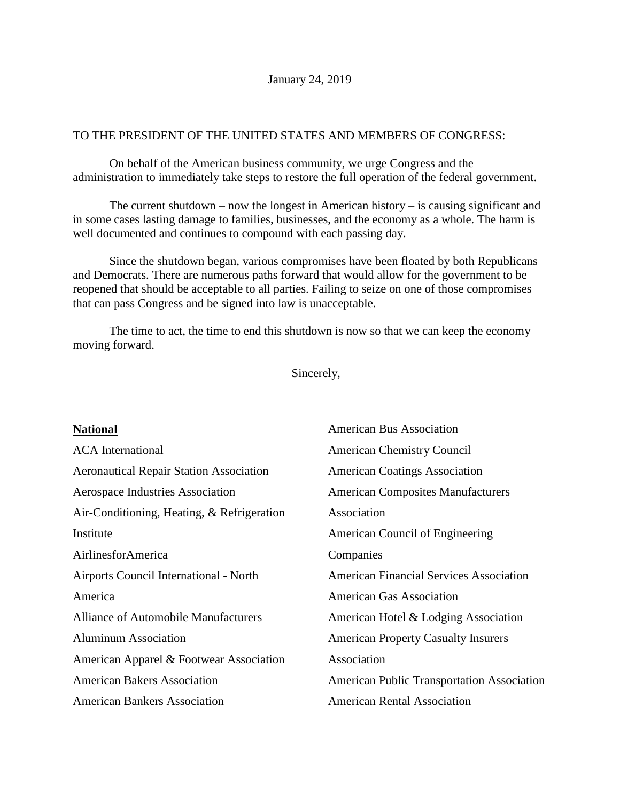## TO THE PRESIDENT OF THE UNITED STATES AND MEMBERS OF CONGRESS:

On behalf of the American business community, we urge Congress and the administration to immediately take steps to restore the full operation of the federal government.

The current shutdown – now the longest in American history – is causing significant and in some cases lasting damage to families, businesses, and the economy as a whole. The harm is well documented and continues to compound with each passing day.

Since the shutdown began, various compromises have been floated by both Republicans and Democrats. There are numerous paths forward that would allow for the government to be reopened that should be acceptable to all parties. Failing to seize on one of those compromises that can pass Congress and be signed into law is unacceptable.

The time to act, the time to end this shutdown is now so that we can keep the economy moving forward.

Sincerely,

| <b>National</b>                                | <b>American Bus Association</b>                   |
|------------------------------------------------|---------------------------------------------------|
| <b>ACA</b> International                       | <b>American Chemistry Council</b>                 |
| <b>Aeronautical Repair Station Association</b> | <b>American Coatings Association</b>              |
| Aerospace Industries Association               | <b>American Composites Manufacturers</b>          |
| Air-Conditioning, Heating, & Refrigeration     | Association                                       |
| Institute                                      | American Council of Engineering                   |
| AirlinesforAmerica                             | Companies                                         |
| Airports Council International - North         | <b>American Financial Services Association</b>    |
| America                                        | <b>American Gas Association</b>                   |
| <b>Alliance of Automobile Manufacturers</b>    | American Hotel & Lodging Association              |
| <b>Aluminum Association</b>                    | <b>American Property Casualty Insurers</b>        |
| American Apparel & Footwear Association        | Association                                       |
| <b>American Bakers Association</b>             | <b>American Public Transportation Association</b> |
| <b>American Bankers Association</b>            | <b>American Rental Association</b>                |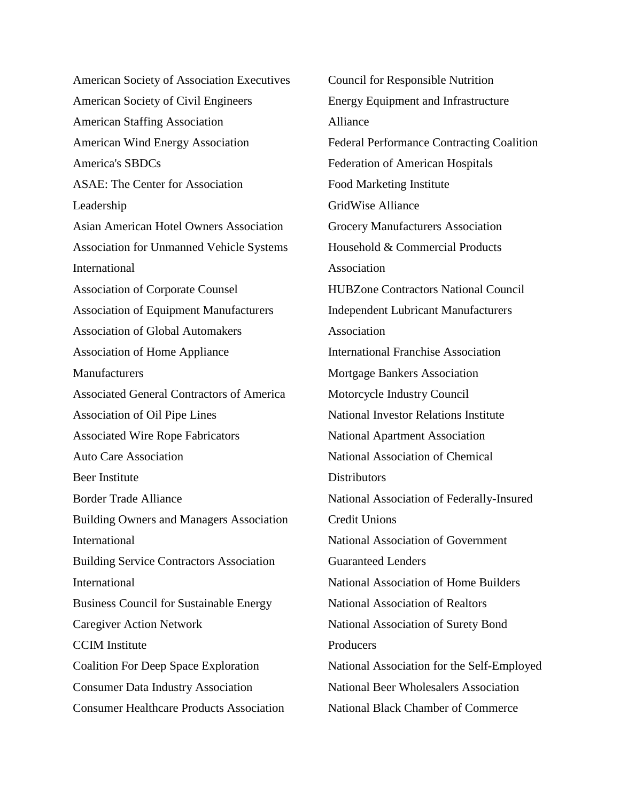American Society of Association Executives American Society of Civil Engineers American Staffing Association American Wind Energy Association America's SBDCs ASAE: The Center for Association Leadership Asian American Hotel Owners Association Association for Unmanned Vehicle Systems International Association of Corporate Counsel Association of Equipment Manufacturers Association of Global Automakers Association of Home Appliance **Manufacturers** Associated General Contractors of America Association of Oil Pipe Lines Associated Wire Rope Fabricators Auto Care Association Beer Institute Border Trade Alliance Building Owners and Managers Association International Building Service Contractors Association International Business Council for Sustainable Energy Caregiver Action Network CCIM Institute Coalition For Deep Space Exploration Consumer Data Industry Association Consumer Healthcare Products Association

Council for Responsible Nutrition Energy Equipment and Infrastructure Alliance Federal Performance Contracting Coalition Federation of American Hospitals Food Marketing Institute GridWise Alliance Grocery Manufacturers Association Household & Commercial Products Association HUBZone Contractors National Council Independent Lubricant Manufacturers Association International Franchise Association Mortgage Bankers Association Motorcycle Industry Council National Investor Relations Institute National Apartment Association National Association of Chemical **Distributors** National Association of Federally-Insured Credit Unions National Association of Government Guaranteed Lenders National Association of Home Builders National Association of Realtors National Association of Surety Bond **Producers** National Association for the Self-Employed National Beer Wholesalers Association National Black Chamber of Commerce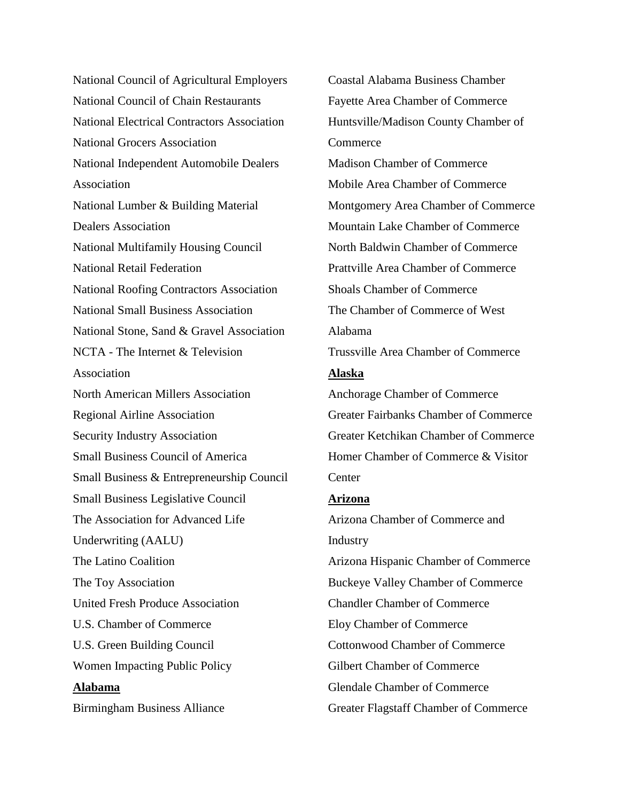National Council of Agricultural Employers National Council of Chain Restaurants National Electrical Contractors Association National Grocers Association National Independent Automobile Dealers Association National Lumber & Building Material Dealers Association National Multifamily Housing Council National Retail Federation National Roofing Contractors Association National Small Business Association National Stone, Sand & Gravel Association NCTA - The Internet & Television Association North American Millers Association Regional Airline Association Security Industry Association Small Business Council of America Small Business & Entrepreneurship Council Small Business Legislative Council The Association for Advanced Life Underwriting (AALU) The Latino Coalition The Toy Association United Fresh Produce Association U.S. Chamber of Commerce U.S. Green Building Council Women Impacting Public Policy **Alabama** Birmingham Business Alliance

Coastal Alabama Business Chamber Fayette Area Chamber of Commerce Huntsville/Madison County Chamber of **Commerce** Madison Chamber of Commerce Mobile Area Chamber of Commerce Montgomery Area Chamber of Commerce Mountain Lake Chamber of Commerce North Baldwin Chamber of Commerce Prattville Area Chamber of Commerce Shoals Chamber of Commerce The Chamber of Commerce of West Alabama Trussville Area Chamber of Commerce **Alaska** Anchorage Chamber of Commerce Greater Fairbanks Chamber of Commerce Greater Ketchikan Chamber of Commerce Homer Chamber of Commerce & Visitor Center **Arizona** Arizona Chamber of Commerce and Industry Arizona Hispanic Chamber of Commerce Buckeye Valley Chamber of Commerce Chandler Chamber of Commerce Eloy Chamber of Commerce Cottonwood Chamber of Commerce Gilbert Chamber of Commerce Glendale Chamber of Commerce

Greater Flagstaff Chamber of Commerce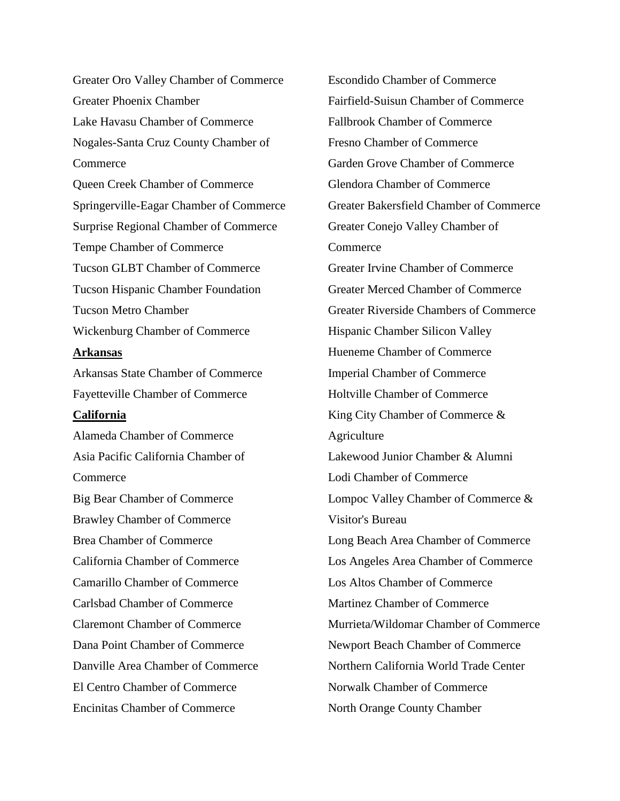Greater Oro Valley Chamber of Commerce Greater Phoenix Chamber Lake Havasu Chamber of Commerce Nogales-Santa Cruz County Chamber of **Commerce** Queen Creek Chamber of Commerce Springerville-Eagar Chamber of Commerce Surprise Regional Chamber of Commerce Tempe Chamber of Commerce Tucson GLBT Chamber of Commerce Tucson Hispanic Chamber Foundation Tucson Metro Chamber Wickenburg Chamber of Commerce **Arkansas** Arkansas State Chamber of Commerce Fayetteville Chamber of Commerce **California** Alameda Chamber of Commerce Asia Pacific California Chamber of **Commerce** Big Bear Chamber of Commerce Brawley Chamber of Commerce Brea Chamber of Commerce California Chamber of Commerce Camarillo Chamber of Commerce Carlsbad Chamber of Commerce Claremont Chamber of Commerce Dana Point Chamber of Commerce Danville Area Chamber of Commerce El Centro Chamber of Commerce Encinitas Chamber of Commerce

Escondido Chamber of Commerce Fairfield-Suisun Chamber of Commerce Fallbrook Chamber of Commerce Fresno Chamber of Commerce Garden Grove Chamber of Commerce Glendora Chamber of Commerce Greater Bakersfield Chamber of Commerce Greater Conejo Valley Chamber of Commerce Greater Irvine Chamber of Commerce Greater Merced Chamber of Commerce Greater Riverside Chambers of Commerce Hispanic Chamber Silicon Valley Hueneme Chamber of Commerce Imperial Chamber of Commerce Holtville Chamber of Commerce King City Chamber of Commerce & Agriculture Lakewood Junior Chamber & Alumni Lodi Chamber of Commerce Lompoc Valley Chamber of Commerce & Visitor's Bureau Long Beach Area Chamber of Commerce Los Angeles Area Chamber of Commerce Los Altos Chamber of Commerce Martinez Chamber of Commerce Murrieta/Wildomar Chamber of Commerce Newport Beach Chamber of Commerce Northern California World Trade Center Norwalk Chamber of Commerce North Orange County Chamber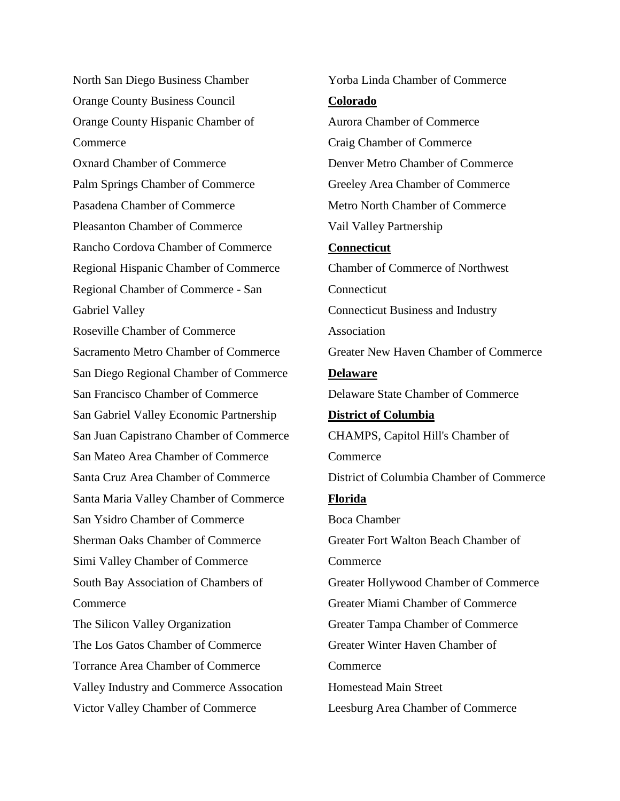North San Diego Business Chamber Orange County Business Council Orange County Hispanic Chamber of Commerce Oxnard Chamber of Commerce Palm Springs Chamber of Commerce Pasadena Chamber of Commerce Pleasanton Chamber of Commerce Rancho Cordova Chamber of Commerce Regional Hispanic Chamber of Commerce Regional Chamber of Commerce - San Gabriel Valley Roseville Chamber of Commerce Sacramento Metro Chamber of Commerce San Diego Regional Chamber of Commerce San Francisco Chamber of Commerce San Gabriel Valley Economic Partnership San Juan Capistrano Chamber of Commerce San Mateo Area Chamber of Commerce Santa Cruz Area Chamber of Commerce Santa Maria Valley Chamber of Commerce San Ysidro Chamber of Commerce Sherman Oaks Chamber of Commerce Simi Valley Chamber of Commerce South Bay Association of Chambers of Commerce The Silicon Valley Organization The Los Gatos Chamber of Commerce Torrance Area Chamber of Commerce Valley Industry and Commerce Assocation Victor Valley Chamber of Commerce

Yorba Linda Chamber of Commerce **Colorado** Aurora Chamber of Commerce Craig Chamber of Commerce Denver Metro Chamber of Commerce Greeley Area Chamber of Commerce Metro North Chamber of Commerce Vail Valley Partnership **Connecticut** Chamber of Commerce of Northwest Connecticut Connecticut Business and Industry Association Greater New Haven Chamber of Commerce **Delaware** Delaware State Chamber of Commerce **District of Columbia** CHAMPS, Capitol Hill's Chamber of **Commerce** District of Columbia Chamber of Commerce **Florida** Boca Chamber Greater Fort Walton Beach Chamber of **Commerce** Greater Hollywood Chamber of Commerce Greater Miami Chamber of Commerce Greater Tampa Chamber of Commerce Greater Winter Haven Chamber of **Commerce** Homestead Main Street Leesburg Area Chamber of Commerce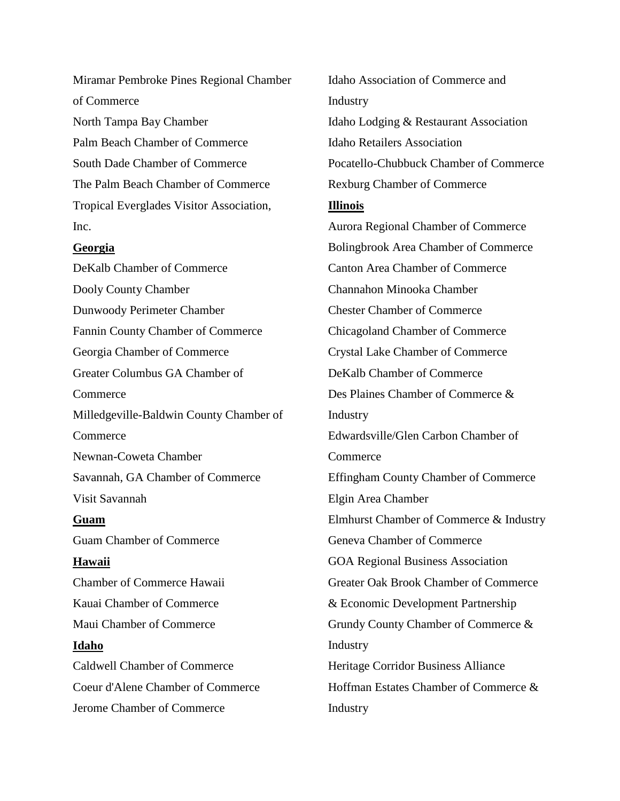Miramar Pembroke Pines Regional Chamber of Commerce North Tampa Bay Chamber Palm Beach Chamber of Commerce South Dade Chamber of Commerce The Palm Beach Chamber of Commerce Tropical Everglades Visitor Association, Inc.

## **Georgia**

DeKalb Chamber of Commerce Dooly County Chamber Dunwoody Perimeter Chamber Fannin County Chamber of Commerce Georgia Chamber of Commerce Greater Columbus GA Chamber of **Commerce** Milledgeville-Baldwin County Chamber of Commerce Newnan-Coweta Chamber Savannah, GA Chamber of Commerce Visit Savannah **Guam** Guam Chamber of Commerce **Hawaii** Chamber of Commerce Hawaii Kauai Chamber of Commerce Maui Chamber of Commerce **Idaho** Caldwell Chamber of Commerce Coeur d'Alene Chamber of Commerce Jerome Chamber of Commerce

Idaho Association of Commerce and Industry Idaho Lodging & Restaurant Association Idaho Retailers Association Pocatello-Chubbuck Chamber of Commerce Rexburg Chamber of Commerce **Illinois** Aurora Regional Chamber of Commerce Bolingbrook Area Chamber of Commerce Canton Area Chamber of Commerce Channahon Minooka Chamber Chester Chamber of Commerce Chicagoland Chamber of Commerce Crystal Lake Chamber of Commerce DeKalb Chamber of Commerce Des Plaines Chamber of Commerce & Industry Edwardsville/Glen Carbon Chamber of **Commerce** Effingham County Chamber of Commerce Elgin Area Chamber Elmhurst Chamber of Commerce & Industry Geneva Chamber of Commerce GOA Regional Business Association Greater Oak Brook Chamber of Commerce & Economic Development Partnership Grundy County Chamber of Commerce & Industry Heritage Corridor Business Alliance Hoffman Estates Chamber of Commerce & Industry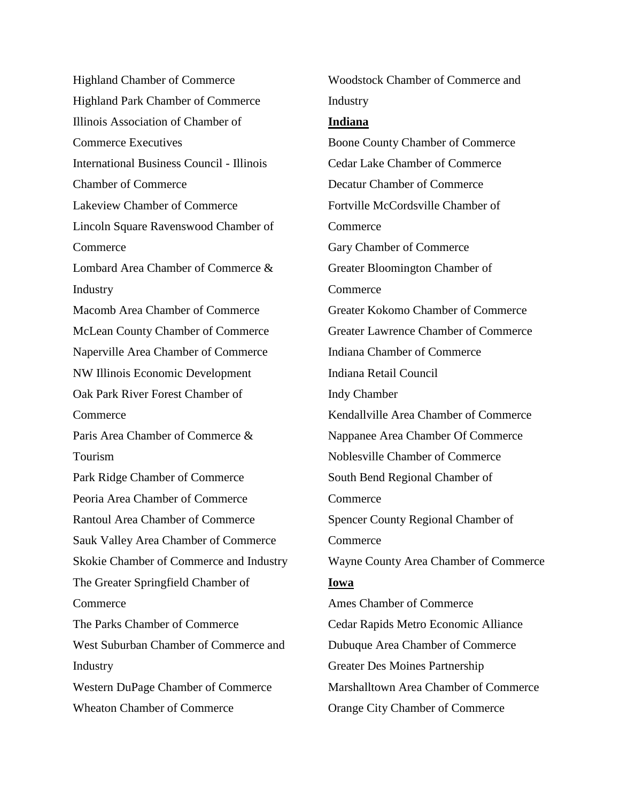Highland Chamber of Commerce Highland Park Chamber of Commerce Illinois Association of Chamber of Commerce Executives International Business Council - Illinois Chamber of Commerce Lakeview Chamber of Commerce Lincoln Square Ravenswood Chamber of Commerce Lombard Area Chamber of Commerce & Industry Macomb Area Chamber of Commerce McLean County Chamber of Commerce Naperville Area Chamber of Commerce NW Illinois Economic Development Oak Park River Forest Chamber of Commerce Paris Area Chamber of Commerce & Tourism Park Ridge Chamber of Commerce Peoria Area Chamber of Commerce Rantoul Area Chamber of Commerce Sauk Valley Area Chamber of Commerce Skokie Chamber of Commerce and Industry The Greater Springfield Chamber of **Commerce** The Parks Chamber of Commerce West Suburban Chamber of Commerce and Industry Western DuPage Chamber of Commerce Wheaton Chamber of Commerce

Industry **Indiana** Boone County Chamber of Commerce Cedar Lake Chamber of Commerce Decatur Chamber of Commerce Fortville McCordsville Chamber of Commerce Gary Chamber of Commerce Greater Bloomington Chamber of **Commerce** Greater Kokomo Chamber of Commerce Greater Lawrence Chamber of Commerce Indiana Chamber of Commerce Indiana Retail Council Indy Chamber Kendallville Area Chamber of Commerce Nappanee Area Chamber Of Commerce Noblesville Chamber of Commerce South Bend Regional Chamber of **Commerce** Spencer County Regional Chamber of **Commerce** Wayne County Area Chamber of Commerce **Iowa** Ames Chamber of Commerce Cedar Rapids Metro Economic Alliance Dubuque Area Chamber of Commerce Greater Des Moines Partnership Marshalltown Area Chamber of Commerce Orange City Chamber of Commerce

Woodstock Chamber of Commerce and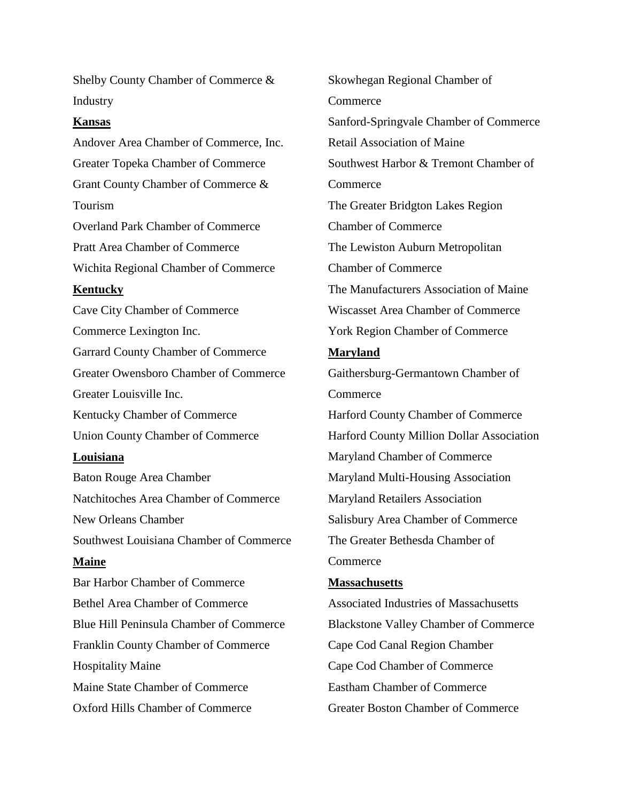Shelby County Chamber of Commerce & Industry

#### **Kansas**

Andover Area Chamber of Commerce, Inc. Greater Topeka Chamber of Commerce Grant County Chamber of Commerce & Tourism Overland Park Chamber of Commerce Pratt Area Chamber of Commerce Wichita Regional Chamber of Commerce **Kentucky** Cave City Chamber of Commerce Commerce Lexington Inc. Garrard County Chamber of Commerce Greater Owensboro Chamber of Commerce Greater Louisville Inc. Kentucky Chamber of Commerce Union County Chamber of Commerce **Louisiana** Baton Rouge Area Chamber Natchitoches Area Chamber of Commerce New Orleans Chamber Southwest Louisiana Chamber of Commerce **Maine** Bar Harbor Chamber of Commerce Bethel Area Chamber of Commerce Blue Hill Peninsula Chamber of Commerce Franklin County Chamber of Commerce Hospitality Maine Maine State Chamber of Commerce Oxford Hills Chamber of Commerce

Skowhegan Regional Chamber of **Commerce** Sanford-Springvale Chamber of Commerce Retail Association of Maine Southwest Harbor & Tremont Chamber of **Commerce** The Greater Bridgton Lakes Region Chamber of Commerce The Lewiston Auburn Metropolitan Chamber of Commerce The Manufacturers Association of Maine Wiscasset Area Chamber of Commerce York Region Chamber of Commerce **Maryland** Gaithersburg-Germantown Chamber of **Commerce** Harford County Chamber of Commerce Harford County Million Dollar Association Maryland Chamber of Commerce Maryland Multi-Housing Association Maryland Retailers Association Salisbury Area Chamber of Commerce The Greater Bethesda Chamber of **Commerce Massachusetts** Associated Industries of Massachusetts Blackstone Valley Chamber of Commerce Cape Cod Canal Region Chamber Cape Cod Chamber of Commerce Eastham Chamber of Commerce Greater Boston Chamber of Commerce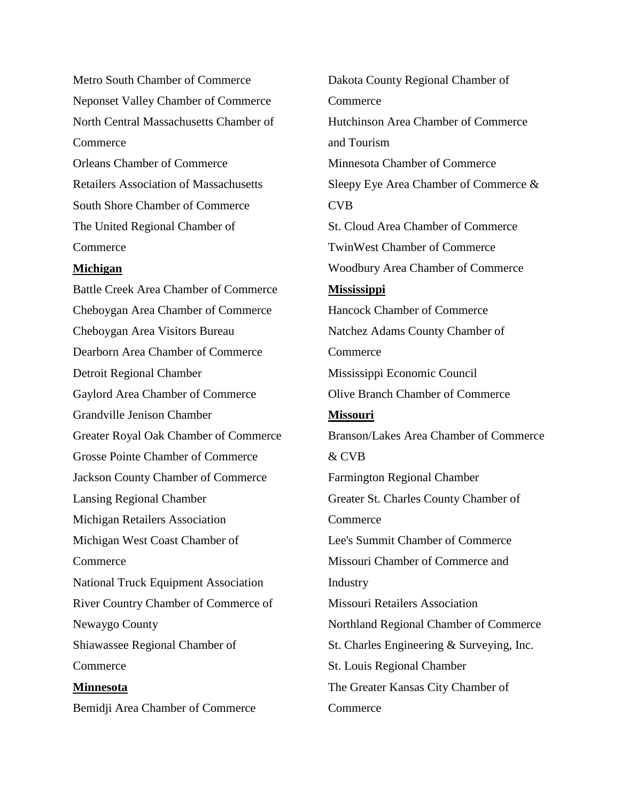Metro South Chamber of Commerce Neponset Valley Chamber of Commerce North Central Massachusetts Chamber of Commerce Orleans Chamber of Commerce

Retailers Association of Massachusetts South Shore Chamber of Commerce The United Regional Chamber of **Commerce** 

### **Michigan**

Battle Creek Area Chamber of Commerce Cheboygan Area Chamber of Commerce Cheboygan Area Visitors Bureau Dearborn Area Chamber of Commerce Detroit Regional Chamber Gaylord Area Chamber of Commerce Grandville Jenison Chamber Greater Royal Oak Chamber of Commerce Grosse Pointe Chamber of Commerce Jackson County Chamber of Commerce Lansing Regional Chamber Michigan Retailers Association Michigan West Coast Chamber of Commerce National Truck Equipment Association River Country Chamber of Commerce of Newaygo County Shiawassee Regional Chamber of Commerce **Minnesota** Bemidji Area Chamber of Commerce

Dakota County Regional Chamber of **Commerce** Hutchinson Area Chamber of Commerce and Tourism Minnesota Chamber of Commerce Sleepy Eye Area Chamber of Commerce & CVB St. Cloud Area Chamber of Commerce TwinWest Chamber of Commerce Woodbury Area Chamber of Commerce **Mississippi** Hancock Chamber of Commerce Natchez Adams County Chamber of **Commerce** Mississippi Economic Council Olive Branch Chamber of Commerce **Missouri** Branson/Lakes Area Chamber of Commerce & CVB Farmington Regional Chamber Greater St. Charles County Chamber of **Commerce** Lee's Summit Chamber of Commerce Missouri Chamber of Commerce and Industry Missouri Retailers Association Northland Regional Chamber of Commerce St. Charles Engineering & Surveying, Inc. St. Louis Regional Chamber The Greater Kansas City Chamber of **Commerce**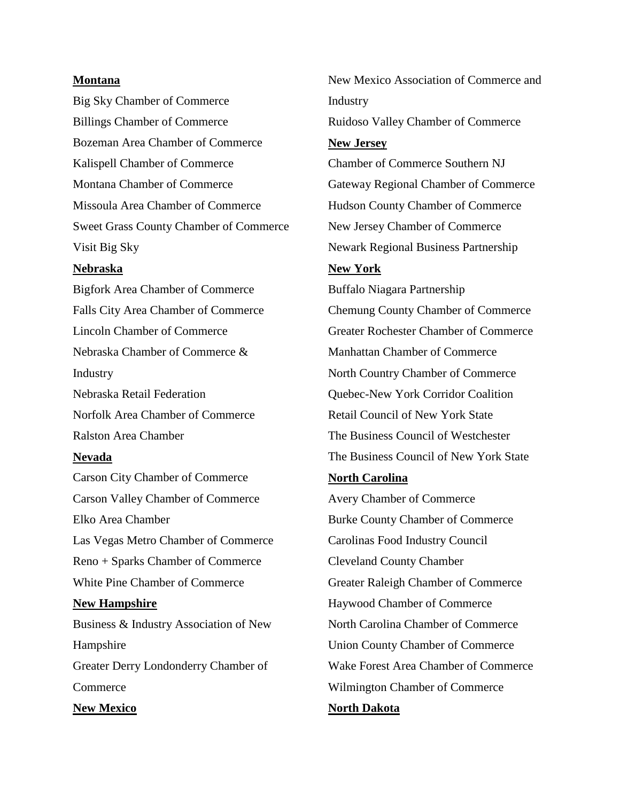#### **Montana**

Big Sky Chamber of Commerce Billings Chamber of Commerce Bozeman Area Chamber of Commerce Kalispell Chamber of Commerce Montana Chamber of Commerce Missoula Area Chamber of Commerce Sweet Grass County Chamber of Commerce Visit Big Sky

#### **Nebraska**

Bigfork Area Chamber of Commerce Falls City Area Chamber of Commerce Lincoln Chamber of Commerce Nebraska Chamber of Commerce & Industry Nebraska Retail Federation Norfolk Area Chamber of Commerce Ralston Area Chamber **Nevada** Carson City Chamber of Commerce Carson Valley Chamber of Commerce Elko Area Chamber Las Vegas Metro Chamber of Commerce Reno + Sparks Chamber of Commerce White Pine Chamber of Commerce **New Hampshire** Business & Industry Association of New Hampshire Greater Derry Londonderry Chamber of

Commerce

**New Mexico**

New Mexico Association of Commerce and Industry Ruidoso Valley Chamber of Commerce **New Jersey** Chamber of Commerce Southern NJ Gateway Regional Chamber of Commerce Hudson County Chamber of Commerce New Jersey Chamber of Commerce Newark Regional Business Partnership **New York** Buffalo Niagara Partnership Chemung County Chamber of Commerce Greater Rochester Chamber of Commerce Manhattan Chamber of Commerce North Country Chamber of Commerce Quebec-New York Corridor Coalition Retail Council of New York State The Business Council of Westchester The Business Council of New York State

# **North Carolina**

Avery Chamber of Commerce Burke County Chamber of Commerce Carolinas Food Industry Council Cleveland County Chamber Greater Raleigh Chamber of Commerce Haywood Chamber of Commerce North Carolina Chamber of Commerce Union County Chamber of Commerce Wake Forest Area Chamber of Commerce Wilmington Chamber of Commerce **North Dakota**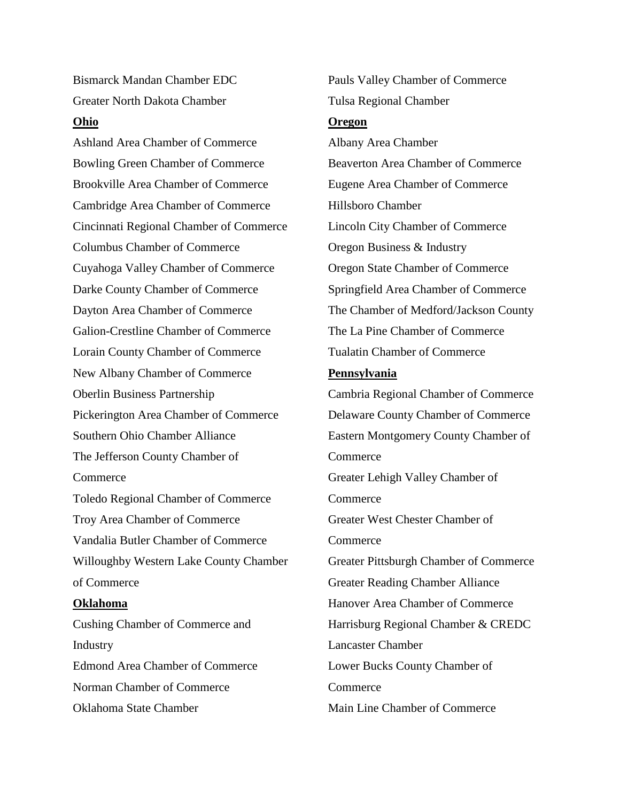Bismarck Mandan Chamber EDC Greater North Dakota Chamber

## **Ohio**

Ashland Area Chamber of Commerce Bowling Green Chamber of Commerce Brookville Area Chamber of Commerce Cambridge Area Chamber of Commerce Cincinnati Regional Chamber of Commerce Columbus Chamber of Commerce Cuyahoga Valley Chamber of Commerce Darke County Chamber of Commerce Dayton Area Chamber of Commerce Galion-Crestline Chamber of Commerce Lorain County Chamber of Commerce New Albany Chamber of Commerce Oberlin Business Partnership Pickerington Area Chamber of Commerce Southern Ohio Chamber Alliance The Jefferson County Chamber of **Commerce** Toledo Regional Chamber of Commerce Troy Area Chamber of Commerce Vandalia Butler Chamber of Commerce Willoughby Western Lake County Chamber of Commerce **Oklahoma** Cushing Chamber of Commerce and Industry

Edmond Area Chamber of Commerce Norman Chamber of Commerce Oklahoma State Chamber

Pauls Valley Chamber of Commerce Tulsa Regional Chamber

## **Oregon**

Albany Area Chamber Beaverton Area Chamber of Commerce Eugene Area Chamber of Commerce Hillsboro Chamber Lincoln City Chamber of Commerce Oregon Business & Industry Oregon State Chamber of Commerce Springfield Area Chamber of Commerce The Chamber of Medford/Jackson County The La Pine Chamber of Commerce Tualatin Chamber of Commerce **Pennsylvania** Cambria Regional Chamber of Commerce Delaware County Chamber of Commerce

Eastern Montgomery County Chamber of **Commerce** Greater Lehigh Valley Chamber of Commerce Greater West Chester Chamber of **Commerce** Greater Pittsburgh Chamber of Commerce Greater Reading Chamber Alliance Hanover Area Chamber of Commerce Harrisburg Regional Chamber & CREDC Lancaster Chamber Lower Bucks County Chamber of Commerce

Main Line Chamber of Commerce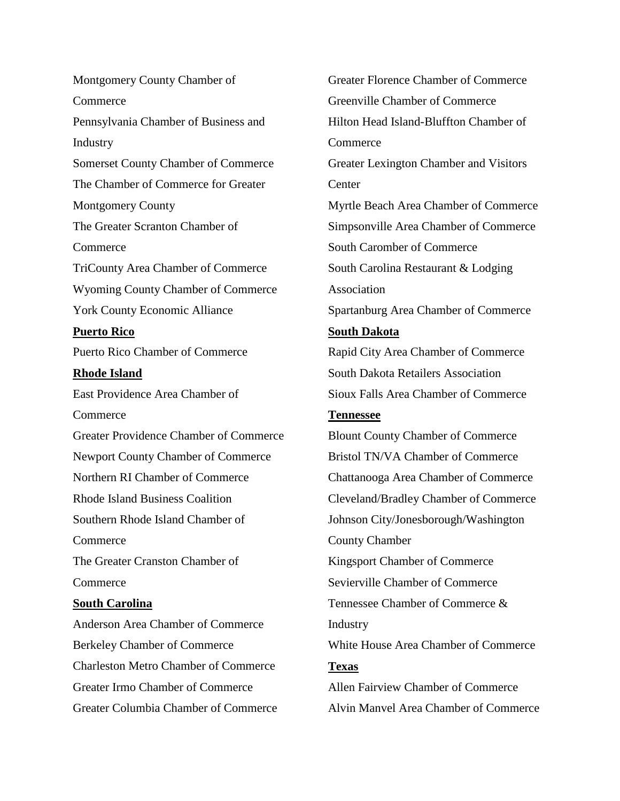Montgomery County Chamber of **Commerce** Pennsylvania Chamber of Business and Industry Somerset County Chamber of Commerce The Chamber of Commerce for Greater Montgomery County The Greater Scranton Chamber of Commerce TriCounty Area Chamber of Commerce Wyoming County Chamber of Commerce York County Economic Alliance **Puerto Rico** Puerto Rico Chamber of Commerce **Rhode Island** East Providence Area Chamber of Commerce Greater Providence Chamber of Commerce Newport County Chamber of Commerce Northern RI Chamber of Commerce Rhode Island Business Coalition Southern Rhode Island Chamber of **Commerce** The Greater Cranston Chamber of Commerce **South Carolina** Anderson Area Chamber of Commerce Berkeley Chamber of Commerce Charleston Metro Chamber of Commerce

Greater Irmo Chamber of Commerce

Greater Columbia Chamber of Commerce

Greater Florence Chamber of Commerce Greenville Chamber of Commerce Hilton Head Island-Bluffton Chamber of Commerce Greater Lexington Chamber and Visitors **Center** Myrtle Beach Area Chamber of Commerce Simpsonville Area Chamber of Commerce South Caromber of Commerce South Carolina Restaurant & Lodging Association Spartanburg Area Chamber of Commerce **South Dakota** Rapid City Area Chamber of Commerce South Dakota Retailers Association Sioux Falls Area Chamber of Commerce **Tennessee** Blount County Chamber of Commerce Bristol TN/VA Chamber of Commerce Chattanooga Area Chamber of Commerce Cleveland/Bradley Chamber of Commerce Johnson City/Jonesborough/Washington County Chamber Kingsport Chamber of Commerce Sevierville Chamber of Commerce Tennessee Chamber of Commerce & **Industry** White House Area Chamber of Commerce **Texas** Allen Fairview Chamber of Commerce Alvin Manvel Area Chamber of Commerce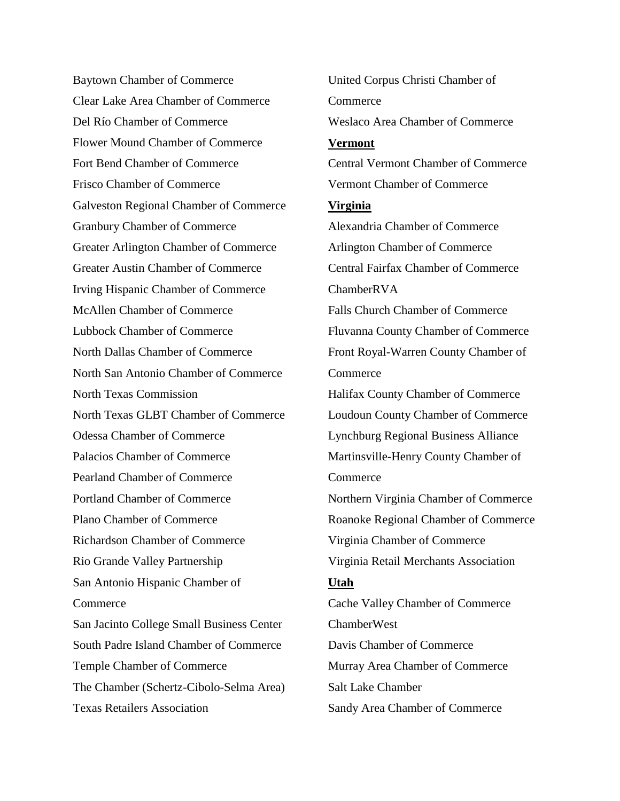Baytown Chamber of Commerce Clear Lake Area Chamber of Commerce Del Río Chamber of Commerce Flower Mound Chamber of Commerce Fort Bend Chamber of Commerce Frisco Chamber of Commerce Galveston Regional Chamber of Commerce Granbury Chamber of Commerce Greater Arlington Chamber of Commerce Greater Austin Chamber of Commerce Irving Hispanic Chamber of Commerce McAllen Chamber of Commerce Lubbock Chamber of Commerce North Dallas Chamber of Commerce North San Antonio Chamber of Commerce North Texas Commission North Texas GLBT Chamber of Commerce Odessa Chamber of Commerce Palacios Chamber of Commerce Pearland Chamber of Commerce Portland Chamber of Commerce Plano Chamber of Commerce Richardson Chamber of Commerce Rio Grande Valley Partnership San Antonio Hispanic Chamber of Commerce San Jacinto College Small Business Center South Padre Island Chamber of Commerce Temple Chamber of Commerce The Chamber (Schertz-Cibolo-Selma Area) Texas Retailers Association

United Corpus Christi Chamber of **Commerce** Weslaco Area Chamber of Commerce **Vermont** Central Vermont Chamber of Commerce Vermont Chamber of Commerce **Virginia** Alexandria Chamber of Commerce Arlington Chamber of Commerce Central Fairfax Chamber of Commerce ChamberRVA Falls Church Chamber of Commerce Fluvanna County Chamber of Commerce Front Royal-Warren County Chamber of **Commerce** Halifax County Chamber of Commerce Loudoun County Chamber of Commerce Lynchburg Regional Business Alliance Martinsville-Henry County Chamber of **Commerce** Northern Virginia Chamber of Commerce Roanoke Regional Chamber of Commerce Virginia Chamber of Commerce Virginia Retail Merchants Association **Utah** Cache Valley Chamber of Commerce ChamberWest Davis Chamber of Commerce Murray Area Chamber of Commerce Salt Lake Chamber Sandy Area Chamber of Commerce